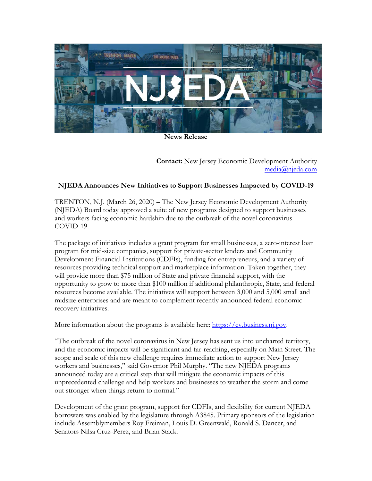

**News Release**

**Contact:** New Jersey Economic Development Authority [media@njeda.com](mailto:media@njeda.com)

## **NJEDA Announces New Initiatives to Support Businesses Impacted by COVID-19**

TRENTON, N.J. (March 26, 2020) – The New Jersey Economic Development Authority (NJEDA) Board today approved a suite of new programs designed to support businesses and workers facing economic hardship due to the outbreak of the novel coronavirus COVID-19.

The package of initiatives includes a grant program for small businesses, a zero-interest loan program for mid-size companies, support for private-sector lenders and Community Development Financial Institutions (CDFIs), funding for entrepreneurs, and a variety of resources providing technical support and marketplace information. Taken together, they will provide more than \$75 million of State and private financial support, with the opportunity to grow to more than \$100 million if additional philanthropic, State, and federal resources become available. The initiatives will support between 3,000 and 5,000 small and midsize enterprises and are meant to complement recently announced federal economic recovery initiatives.

More information about the programs is available here: [https://cv.business.nj.gov.](https://cv.business.nj.gov/)

"The outbreak of the novel coronavirus in New Jersey has sent us into uncharted territory, and the economic impacts will be significant and far-reaching, especially on Main Street. The scope and scale of this new challenge requires immediate action to support New Jersey workers and businesses," said Governor Phil Murphy. "The new NJEDA programs announced today are a critical step that will mitigate the economic impacts of this unprecedented challenge and help workers and businesses to weather the storm and come out stronger when things return to normal."

Development of the grant program, support for CDFIs, and flexibility for current NJEDA borrowers was enabled by the legislature through A3845. Primary sponsors of the legislation include Assemblymembers Roy Freiman, Louis D. Greenwald, Ronald S. Dancer, and Senators Nilsa Cruz-Perez, and Brian Stack.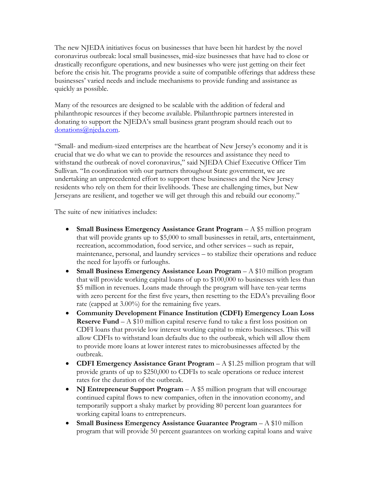The new NJEDA initiatives focus on businesses that have been hit hardest by the novel coronavirus outbreak: local small businesses, mid-size businesses that have had to close or drastically reconfigure operations, and new businesses who were just getting on their feet before the crisis hit. The programs provide a suite of compatible offerings that address these businesses' varied needs and include mechanisms to provide funding and assistance as quickly as possible.

Many of the resources are designed to be scalable with the addition of federal and philanthropic resources if they become available. Philanthropic partners interested in donating to support the NJEDA's small business grant program should reach out to [donations@njeda.com.](mailto:donations@njeda.com)

"Small- and medium-sized enterprises are the heartbeat of New Jersey's economy and it is crucial that we do what we can to provide the resources and assistance they need to withstand the outbreak of novel coronavirus," said NJEDA Chief Executive Officer Tim Sullivan. "In coordination with our partners throughout State government, we are undertaking an unprecedented effort to support these businesses and the New Jersey residents who rely on them for their livelihoods. These are challenging times, but New Jerseyans are resilient, and together we will get through this and rebuild our economy."

The suite of new initiatives includes:

- **Small Business Emergency Assistance Grant Program** A \$5 million program that will provide grants up to \$5,000 to small businesses in retail, arts, entertainment, recreation, accommodation, food service, and other services – such as repair, maintenance, personal, and laundry services – to stabilize their operations and reduce the need for layoffs or furloughs.
- **Small Business Emergency Assistance Loan Program** A \$10 million program that will provide working capital loans of up to \$100,000 to businesses with less than \$5 million in revenues. Loans made through the program will have ten-year terms with zero percent for the first five years, then resetting to the EDA's prevailing floor rate (capped at 3.00%) for the remaining five years.
- **Community Development Finance Institution (CDFI) Emergency Loan Loss Reserve Fund** – A \$10 million capital reserve fund to take a first loss position on CDFI loans that provide low interest working capital to micro businesses. This will allow CDFIs to withstand loan defaults due to the outbreak, which will allow them to provide more loans at lower interest rates to microbusinesses affected by the outbreak.
- **CDFI Emergency Assistance Grant Program** A \$1.25 million program that will provide grants of up to \$250,000 to CDFIs to scale operations or reduce interest rates for the duration of the outbreak.
- **NJ Entrepreneur Support Program** A \$5 million program that will encourage continued capital flows to new companies, often in the innovation economy, and temporarily support a shaky market by providing 80 percent loan guarantees for working capital loans to entrepreneurs.
- **Small Business Emergency Assistance Guarantee Program** A \$10 million program that will provide 50 percent guarantees on working capital loans and waive